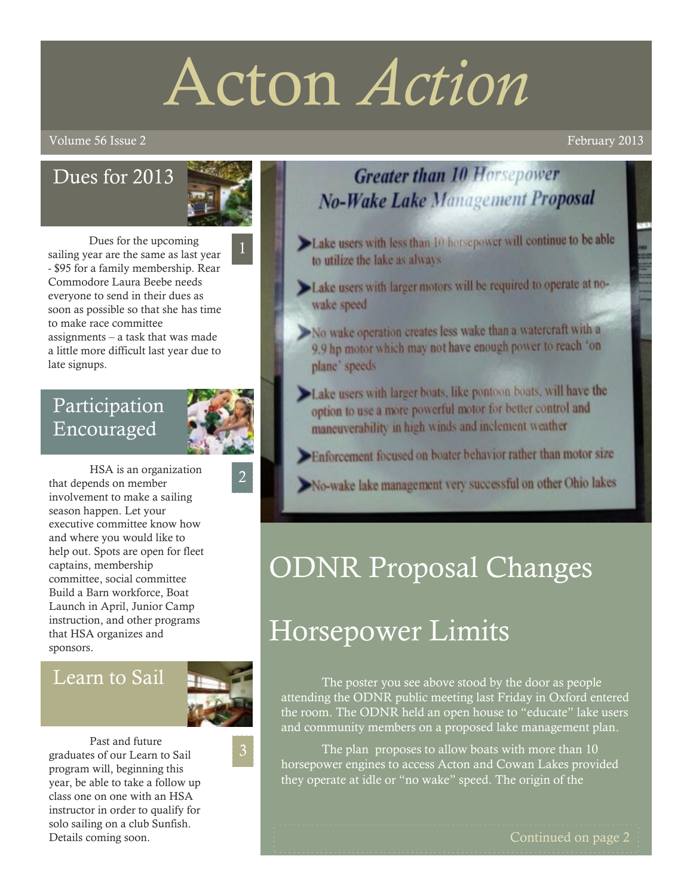# Acton *Action*

#### volume 56 Issue 2 February 2013

## Dues for 2013



Dues for the upcoming sailing year are the same as last year - \$95 for a family membership. Rear Commodore Laura Beebe needs everyone to send in their dues as soon as possible so that she has time to make race committee assignments – a task that was made a little more difficult last year due to late signups.

## Participation Encouraged



2

HSA is an organization that depends on member involvement to make a sailing season happen. Let your executive committee know how and where you would like to help out. Spots are open for fleet captains, membership committee, social committee Build a Barn workforce, Boat Launch in April, Junior Camp instruction, and other programs that HSA organizes and sponsors.

#### Learn to Sail



Past and future graduates of our Learn to Sail program will, beginning this year, be able to take a follow up class one on one with an HSA instructor in order to qualify for solo sailing on a club Sunfish. Details coming soon.



- Lake users with less than 10 horsepower will continue to be able to utilize the lake as always
- Lake users with larger motors will be required to operate at nowake speed
- No wake operation creates less wake than a watercraft with a 9.9 hp motor which may not have enough power to reach 'on plane' speeds
- Lake users with larger boats, like pontoon boats, will have the option to use a more powerful motor for better control and maneuverability in high winds and inclement weather
- Enforcement focused on boater behavior rather than motor size
- No-wake lake management very successful on other Ohio lakes

# ODNR Proposal Changes

# Horsepower Limits

The poster you see above stood by the door as people attending the ODNR public meeting last Friday in Oxford entered the room. The ODNR held an open house to "educate" lake users and community members on a proposed lake management plan.

The plan proposes to allow boats with more than 10 horsepower engines to access Acton and Cowan Lakes provided they operate at idle or "no wake" speed. The origin of the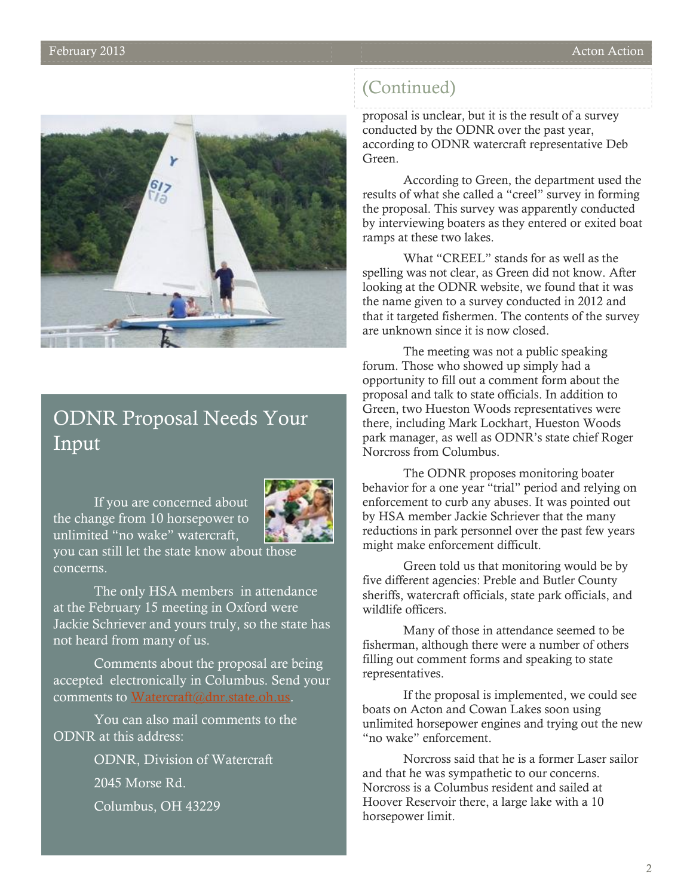

## ODNR Proposal Needs Your Input

If you are concerned about the change from 10 horsepower to unlimited "no wake" watercraft, you can still let the state know about those concerns.



The only HSA members in attendance at the February 15 meeting in Oxford were Jackie Schriever and yours truly, so the state has not heard from many of us.

Comments about the proposal are being accepted electronically in Columbus. Send your comments to [Watercraft@dnr.state.oh.us.](mailto:Watercraft@dnr.state.oh.us)

You can also mail comments to the ODNR at this address:

> ODNR, Division of Watercraft 2045 Morse Rd. Columbus, OH 43229

#### (Continued)

proposal is unclear, but it is the result of a survey conducted by the ODNR over the past year, according to ODNR watercraft representative Deb Green.

According to Green, the department used the results of what she called a "creel" survey in forming the proposal. This survey was apparently conducted by interviewing boaters as they entered or exited boat ramps at these two lakes.

What "CREEL" stands for as well as the spelling was not clear, as Green did not know. After looking at the ODNR website, we found that it was the name given to a survey conducted in 2012 and that it targeted fishermen. The contents of the survey are unknown since it is now closed.

The meeting was not a public speaking forum. Those who showed up simply had a opportunity to fill out a comment form about the proposal and talk to state officials. In addition to Green, two Hueston Woods representatives were there, including Mark Lockhart, Hueston Woods park manager, as well as ODNR's state chief Roger Norcross from Columbus.

The ODNR proposes monitoring boater behavior for a one year "trial" period and relying on enforcement to curb any abuses. It was pointed out by HSA member Jackie Schriever that the many reductions in park personnel over the past few years might make enforcement difficult.

Green told us that monitoring would be by five different agencies: Preble and Butler County sheriffs, watercraft officials, state park officials, and wildlife officers.

Many of those in attendance seemed to be fisherman, although there were a number of others filling out comment forms and speaking to state representatives.

If the proposal is implemented, we could see boats on Acton and Cowan Lakes soon using unlimited horsepower engines and trying out the new "no wake" enforcement.

Norcross said that he is a former Laser sailor and that he was sympathetic to our concerns. Norcross is a Columbus resident and sailed at Hoover Reservoir there, a large lake with a 10 horsepower limit.